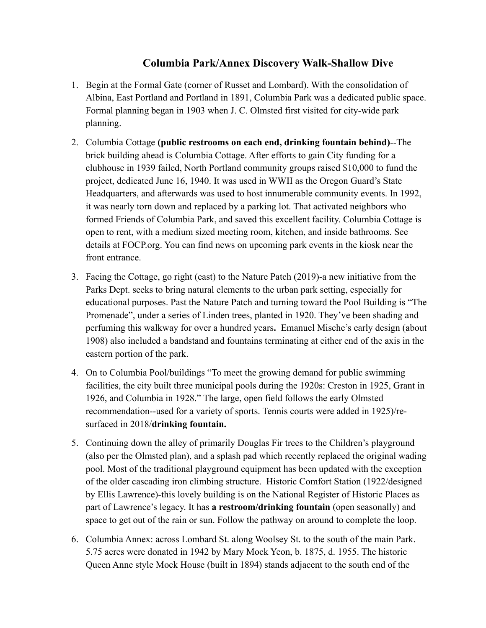## **Columbia Park/Annex Discovery Walk-Shallow Dive**

- 1. Begin at the Formal Gate (corner of Russet and Lombard). With the consolidation of Albina, East Portland and Portland in 1891, Columbia Park was a dedicated public space. Formal planning began in 1903 when J. C. Olmsted first visited for city-wide park planning.
- 2. Columbia Cottage **(public restrooms on each end, drinking fountain behind)**--The brick building ahead is Columbia Cottage. After efforts to gain City funding for a clubhouse in 1939 failed, North Portland community groups raised \$10,000 to fund the project, dedicated June 16, 1940. It was used in WWII as the Oregon Guard's State Headquarters, and afterwards was used to host innumerable community events. In 1992, it was nearly torn down and replaced by a parking lot. That activated neighbors who formed Friends of Columbia Park, and saved this excellent facility. Columbia Cottage is open to rent, with a medium sized meeting room, kitchen, and inside bathrooms. See details at FOCP.org. You can find news on upcoming park events in the kiosk near the front entrance.
- 3. Facing the Cottage, go right (east) to the Nature Patch (2019)-a new initiative from the Parks Dept. seeks to bring natural elements to the urban park setting, especially for educational purposes. Past the Nature Patch and turning toward the Pool Building is "The Promenade", under a series of Linden trees, planted in 1920. They've been shading and perfuming this walkway for over a hundred years**.** Emanuel Mische's early design (about 1908) also included a bandstand and fountains terminating at either end of the axis in the eastern portion of the park.
- 4. On to Columbia Pool/buildings "To meet the growing demand for public swimming facilities, the city built three municipal pools during the 1920s: Creston in 1925, Grant in 1926, and Columbia in 1928." The large, open field follows the early Olmsted recommendation--used for a variety of sports. Tennis courts were added in 1925)/resurfaced in 2018/**drinking fountain.**
- 5. Continuing down the alley of primarily Douglas Fir trees to the Children's playground (also per the Olmsted plan), and a splash pad which recently replaced the original wading pool. Most of the traditional playground equipment has been updated with the exception of the older cascading iron climbing structure. Historic Comfort Station (1922/designed by Ellis Lawrence)-this lovely building is on the National Register of Historic Places as part of Lawrence's legacy. It has **a restroom/drinking fountain** (open seasonally) and space to get out of the rain or sun. Follow the pathway on around to complete the loop.
- 6. Columbia Annex: across Lombard St. along Woolsey St. to the south of the main Park. 5.75 acres were donated in 1942 by Mary Mock Yeon, b. 1875, d. 1955. The historic Queen Anne style Mock House (built in 1894) stands adjacent to the south end of the